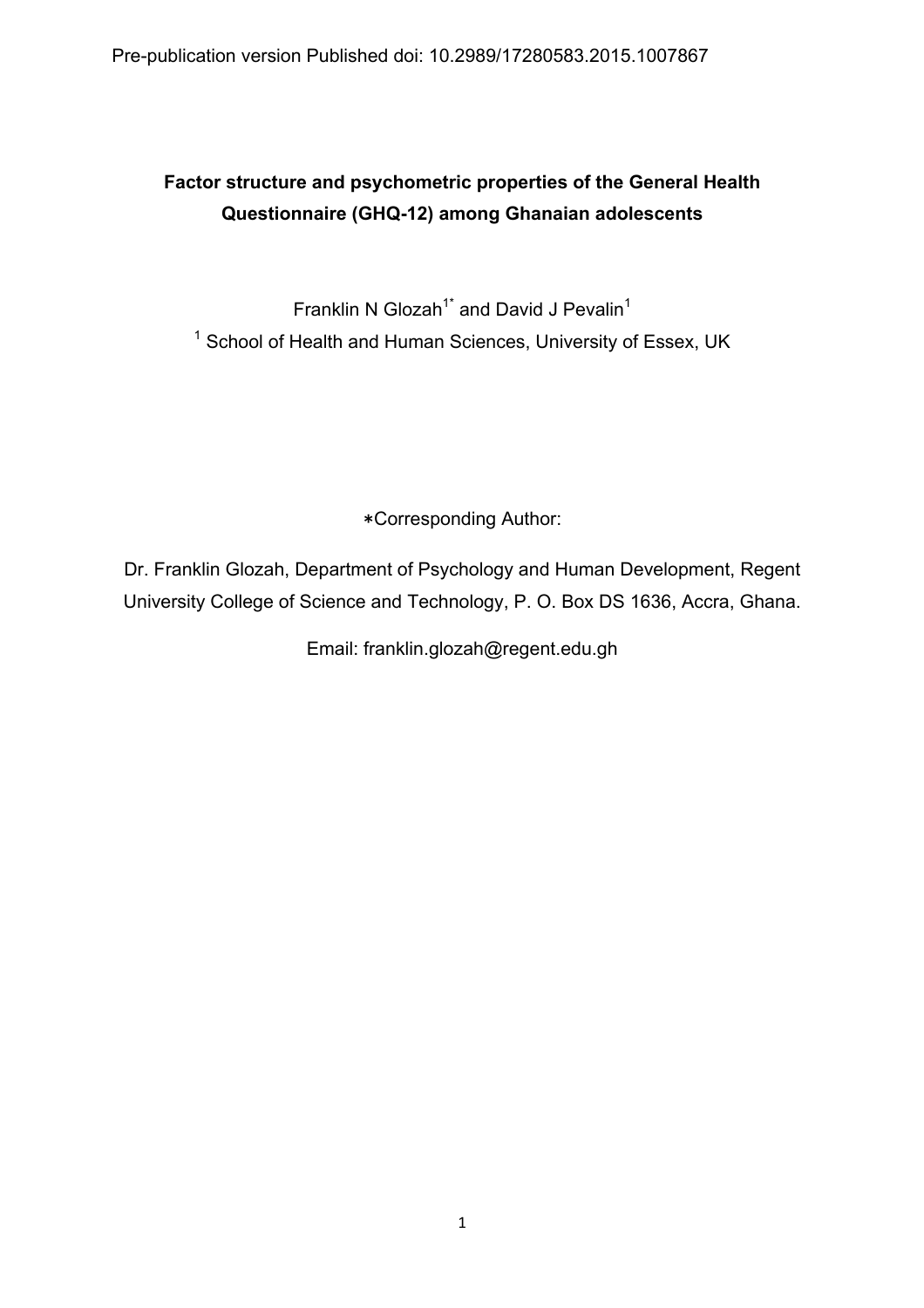Pre-publication version Published doi: 10.2989/17280583.2015.1007867

# **Factor structure and psychometric properties of the General Health Questionnaire (GHQ-12) among Ghanaian adolescents**

Franklin N Glozah<sup>1\*</sup> and David J Pevalin<sup>1</sup> <sup>1</sup> School of Health and Human Sciences, University of Essex, UK

∗Corresponding Author:

Dr. Franklin Glozah, Department of Psychology and Human Development, Regent University College of Science and Technology, P. O. Box DS 1636, Accra, Ghana.

Email: franklin.glozah@regent.edu.gh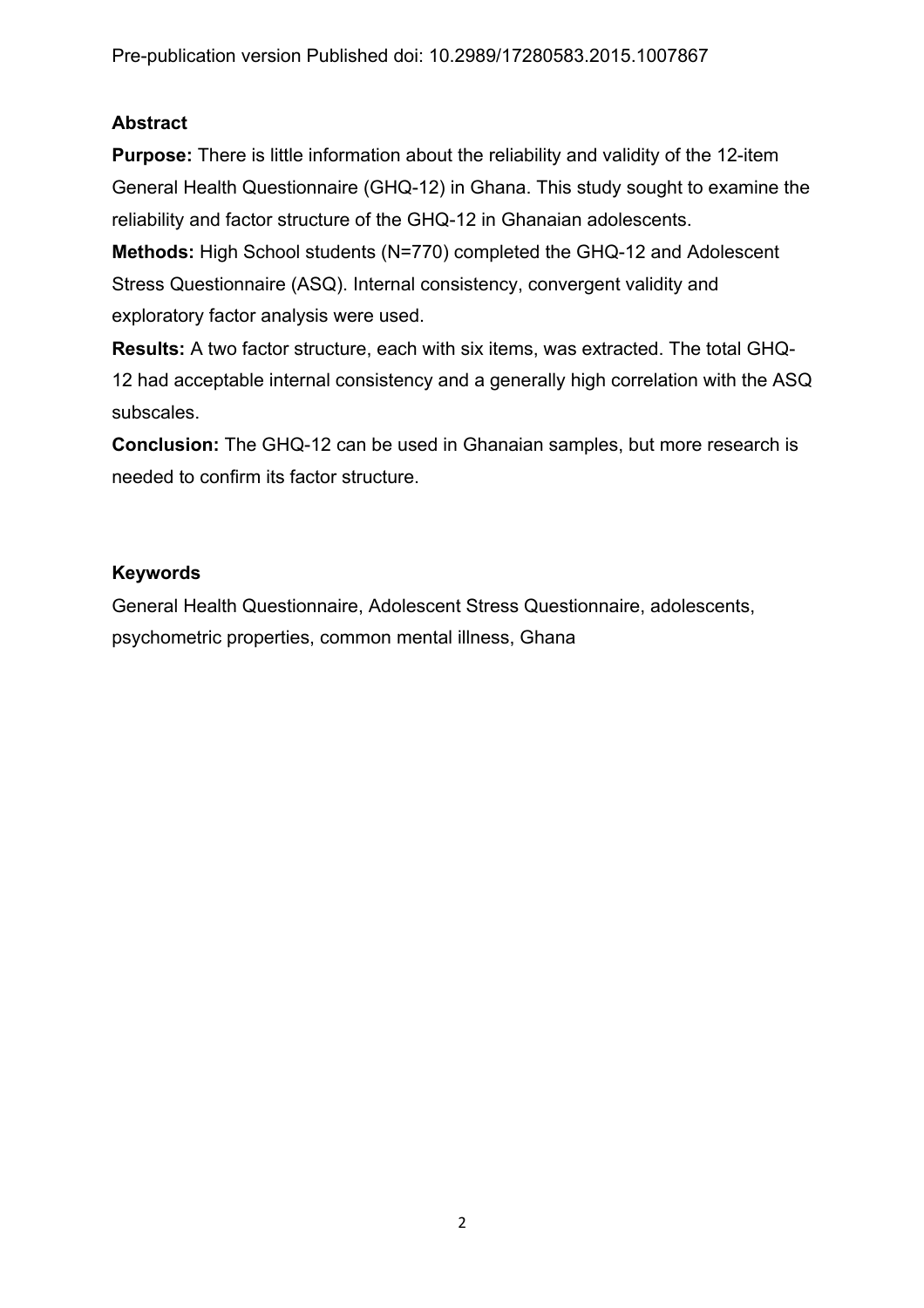# **Abstract**

**Purpose:** There is little information about the reliability and validity of the 12-item General Health Questionnaire (GHQ-12) in Ghana. This study sought to examine the reliability and factor structure of the GHQ-12 in Ghanaian adolescents.

**Methods:** High School students (N=770) completed the GHQ-12 and Adolescent Stress Questionnaire (ASQ). Internal consistency, convergent validity and exploratory factor analysis were used.

**Results:** A two factor structure, each with six items, was extracted. The total GHQ-12 had acceptable internal consistency and a generally high correlation with the ASQ subscales.

**Conclusion:** The GHQ-12 can be used in Ghanaian samples, but more research is needed to confirm its factor structure.

# **Keywords**

General Health Questionnaire, Adolescent Stress Questionnaire, adolescents, psychometric properties, common mental illness, Ghana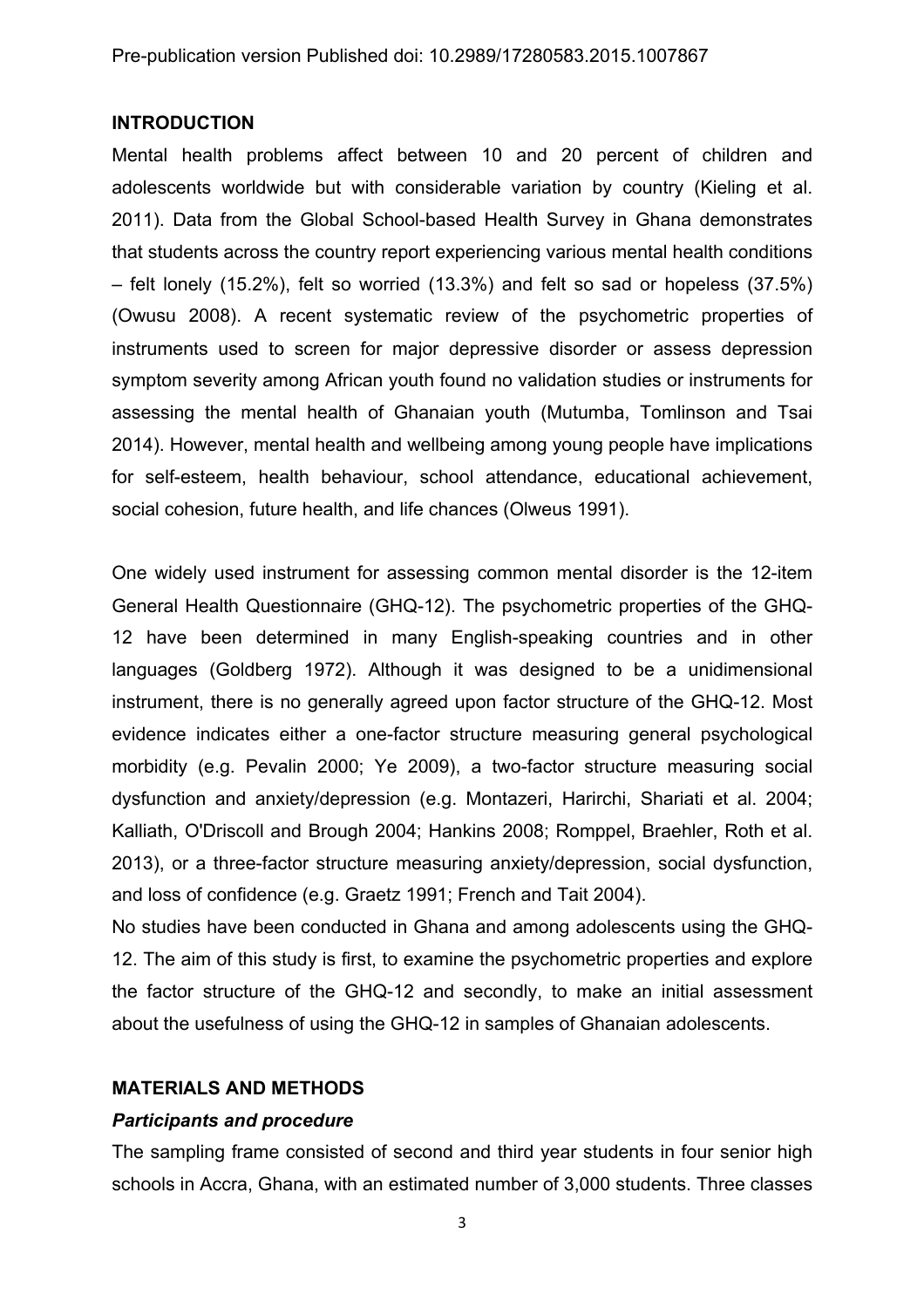### **INTRODUCTION**

Mental health problems affect between 10 and 20 percent of children and adolescents worldwide but with considerable variation by country (Kieling et al. 2011). Data from the Global School-based Health Survey in Ghana demonstrates that students across the country report experiencing various mental health conditions – felt lonely (15.2%), felt so worried (13.3%) and felt so sad or hopeless (37.5%) (Owusu 2008). A recent systematic review of the psychometric properties of instruments used to screen for major depressive disorder or assess depression symptom severity among African youth found no validation studies or instruments for assessing the mental health of Ghanaian youth (Mutumba, Tomlinson and Tsai 2014). However, mental health and wellbeing among young people have implications for self-esteem, health behaviour, school attendance, educational achievement, social cohesion, future health, and life chances (Olweus 1991).

One widely used instrument for assessing common mental disorder is the 12-item General Health Questionnaire (GHQ-12). The psychometric properties of the GHQ-12 have been determined in many English-speaking countries and in other languages (Goldberg 1972). Although it was designed to be a unidimensional instrument, there is no generally agreed upon factor structure of the GHQ-12. Most evidence indicates either a one-factor structure measuring general psychological morbidity (e.g. Pevalin 2000; Ye 2009), a two-factor structure measuring social dysfunction and anxiety/depression (e.g. Montazeri, Harirchi, Shariati et al. 2004; Kalliath, O'Driscoll and Brough 2004; Hankins 2008; Romppel, Braehler, Roth et al. 2013), or a three-factor structure measuring anxiety/depression, social dysfunction, and loss of confidence (e.g. Graetz 1991; French and Tait 2004).

No studies have been conducted in Ghana and among adolescents using the GHQ-12. The aim of this study is first, to examine the psychometric properties and explore the factor structure of the GHQ-12 and secondly, to make an initial assessment about the usefulness of using the GHQ-12 in samples of Ghanaian adolescents.

# **MATERIALS AND METHODS**

# *Participants and procedure*

The sampling frame consisted of second and third year students in four senior high schools in Accra, Ghana, with an estimated number of 3,000 students. Three classes

3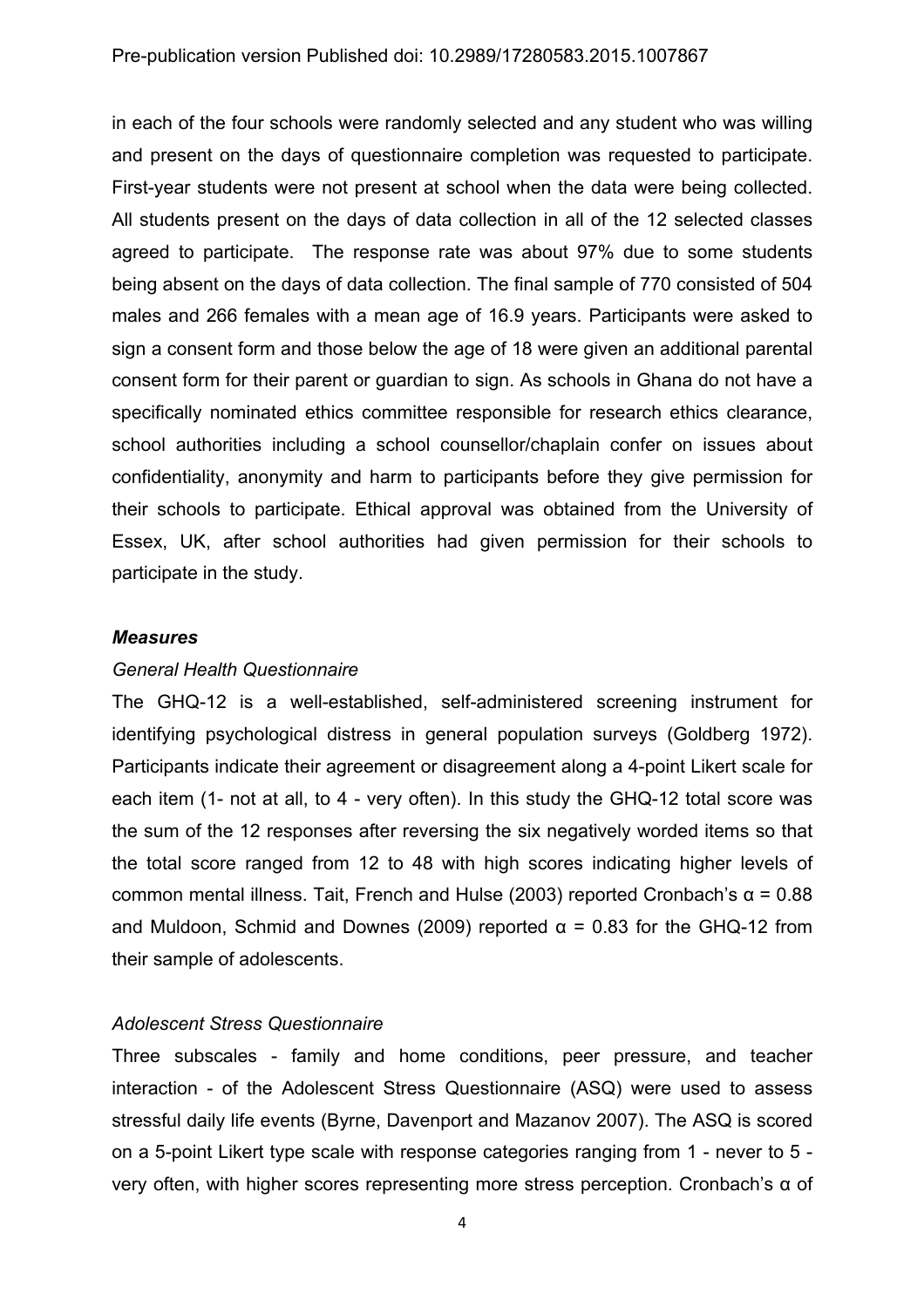in each of the four schools were randomly selected and any student who was willing and present on the days of questionnaire completion was requested to participate. First-year students were not present at school when the data were being collected. All students present on the days of data collection in all of the 12 selected classes agreed to participate. The response rate was about 97% due to some students being absent on the days of data collection. The final sample of 770 consisted of 504 males and 266 females with a mean age of 16.9 years. Participants were asked to sign a consent form and those below the age of 18 were given an additional parental consent form for their parent or guardian to sign. As schools in Ghana do not have a specifically nominated ethics committee responsible for research ethics clearance, school authorities including a school counsellor/chaplain confer on issues about confidentiality, anonymity and harm to participants before they give permission for their schools to participate. Ethical approval was obtained from the University of Essex, UK, after school authorities had given permission for their schools to participate in the study.

#### *Measures*

#### *General Health Questionnaire*

The GHQ-12 is a well-established, self-administered screening instrument for identifying psychological distress in general population surveys (Goldberg 1972). Participants indicate their agreement or disagreement along a 4-point Likert scale for each item (1- not at all, to 4 - very often). In this study the GHQ-12 total score was the sum of the 12 responses after reversing the six negatively worded items so that the total score ranged from 12 to 48 with high scores indicating higher levels of common mental illness. Tait, French and Hulse (2003) reported Cronbach's α = 0.88 and Muldoon, Schmid and Downes (2009) reported  $α = 0.83$  for the GHQ-12 from their sample of adolescents.

#### *Adolescent Stress Questionnaire*

Three subscales - family and home conditions, peer pressure, and teacher interaction - of the Adolescent Stress Questionnaire (ASQ) were used to assess stressful daily life events (Byrne, Davenport and Mazanov 2007). The ASQ is scored on a 5-point Likert type scale with response categories ranging from 1 - never to 5 very often, with higher scores representing more stress perception. Cronbach's α of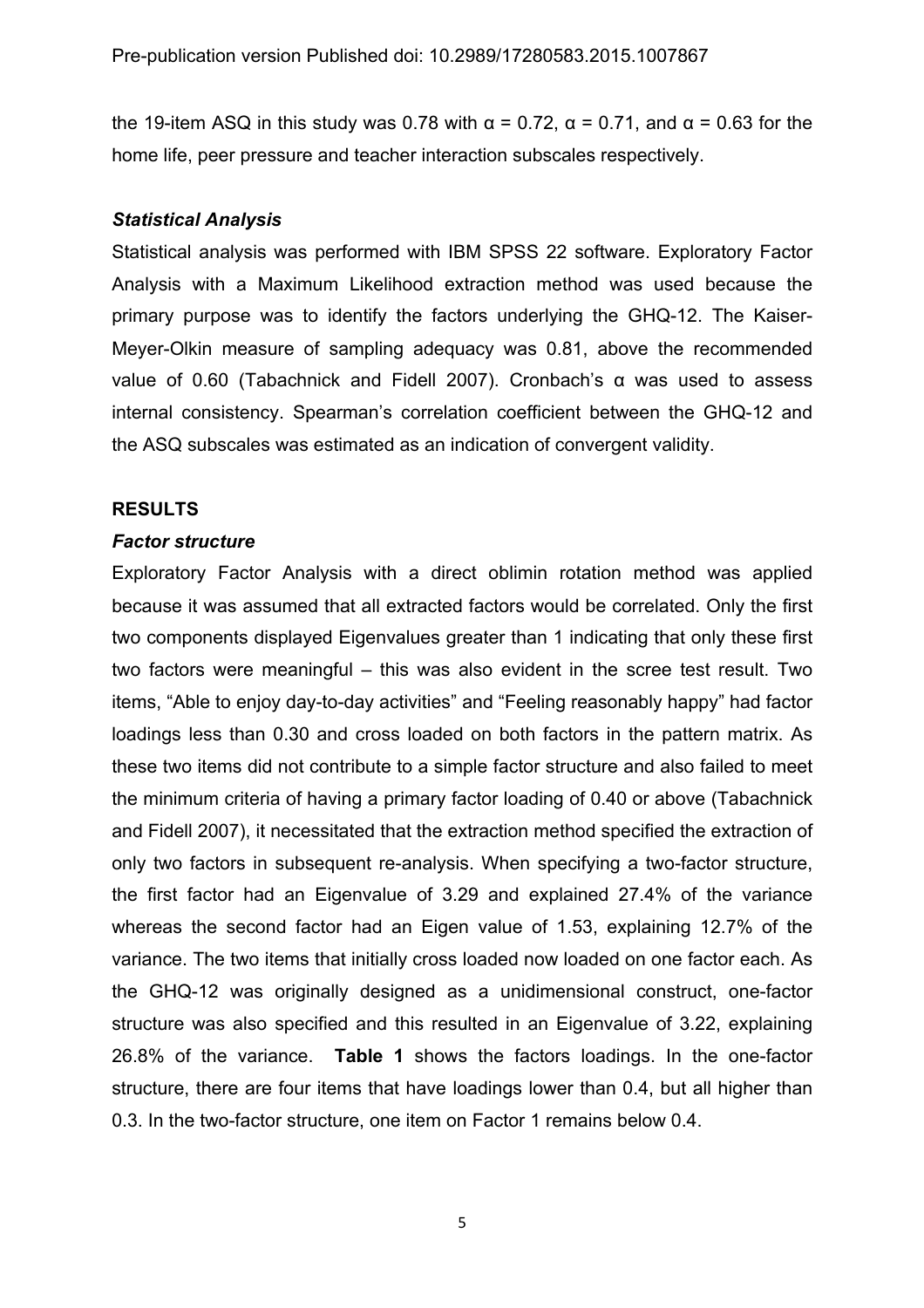the 19-item ASQ in this study was 0.78 with  $\alpha$  = 0.72,  $\alpha$  = 0.71, and  $\alpha$  = 0.63 for the home life, peer pressure and teacher interaction subscales respectively.

#### *Statistical Analysis*

Statistical analysis was performed with IBM SPSS 22 software. Exploratory Factor Analysis with a Maximum Likelihood extraction method was used because the primary purpose was to identify the factors underlying the GHQ-12. The Kaiser-Meyer-Olkin measure of sampling adequacy was 0.81, above the recommended value of 0.60 (Tabachnick and Fidell 2007). Cronbach's α was used to assess internal consistency. Spearman's correlation coefficient between the GHQ-12 and the ASQ subscales was estimated as an indication of convergent validity.

#### **RESULTS**

#### *Factor structure*

Exploratory Factor Analysis with a direct oblimin rotation method was applied because it was assumed that all extracted factors would be correlated. Only the first two components displayed Eigenvalues greater than 1 indicating that only these first two factors were meaningful – this was also evident in the scree test result. Two items, "Able to enjoy day-to-day activities" and "Feeling reasonably happy" had factor loadings less than 0.30 and cross loaded on both factors in the pattern matrix. As these two items did not contribute to a simple factor structure and also failed to meet the minimum criteria of having a primary factor loading of 0.40 or above (Tabachnick and Fidell 2007), it necessitated that the extraction method specified the extraction of only two factors in subsequent re-analysis. When specifying a two-factor structure, the first factor had an Eigenvalue of 3.29 and explained 27.4% of the variance whereas the second factor had an Eigen value of 1.53, explaining 12.7% of the variance. The two items that initially cross loaded now loaded on one factor each. As the GHQ-12 was originally designed as a unidimensional construct, one-factor structure was also specified and this resulted in an Eigenvalue of 3.22, explaining 26.8% of the variance. **Table 1** shows the factors loadings. In the one-factor structure, there are four items that have loadings lower than 0.4, but all higher than 0.3. In the two-factor structure, one item on Factor 1 remains below 0.4.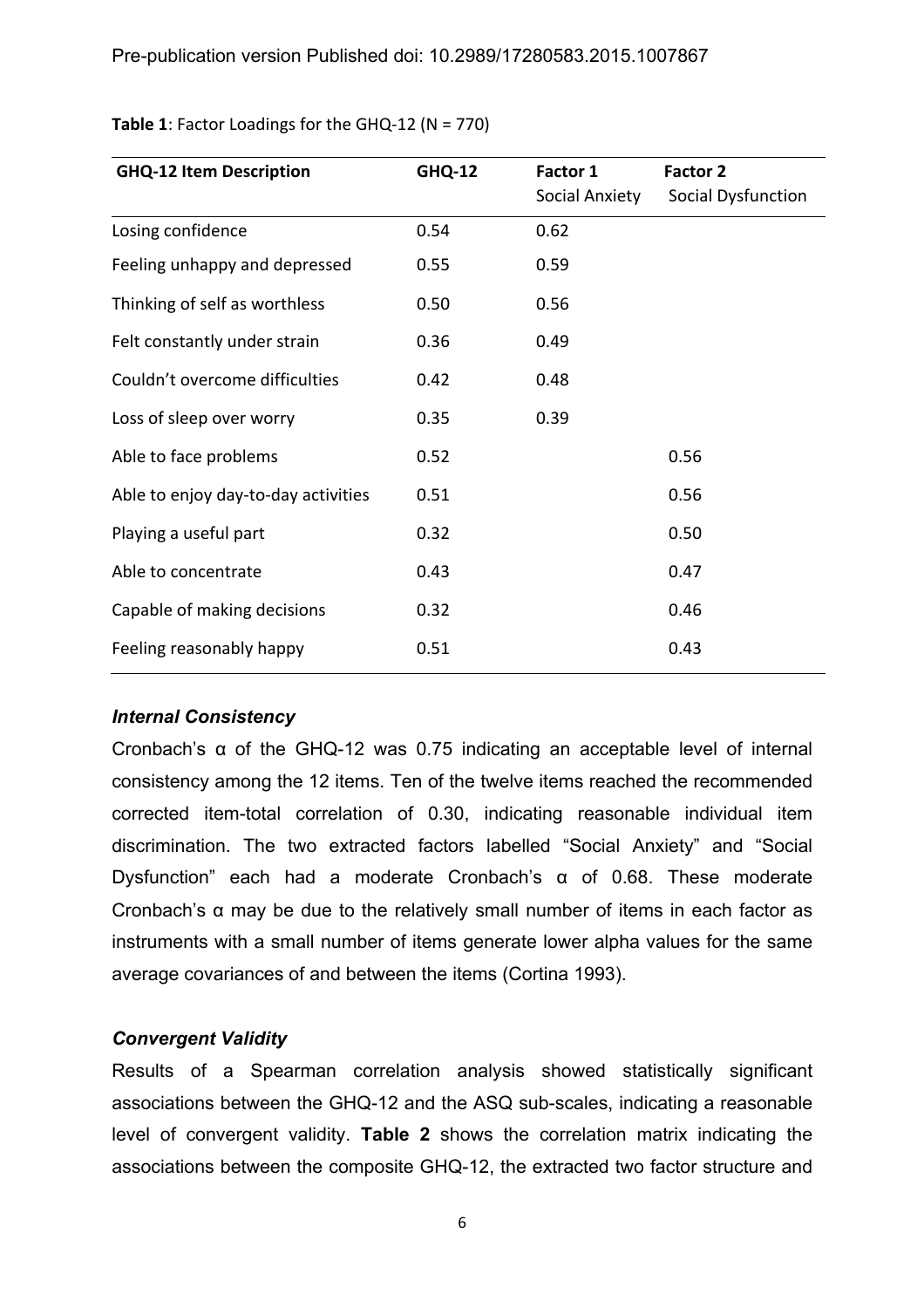| <b>GHQ-12 Item Description</b><br><b>GHQ-12</b> |      | Factor 1       | Factor 2           |  |
|-------------------------------------------------|------|----------------|--------------------|--|
|                                                 |      | Social Anxiety | Social Dysfunction |  |
| Losing confidence                               | 0.54 | 0.62           |                    |  |
| Feeling unhappy and depressed                   | 0.55 | 0.59           |                    |  |
| Thinking of self as worthless                   | 0.50 | 0.56           |                    |  |
| Felt constantly under strain                    | 0.36 | 0.49           |                    |  |
| Couldn't overcome difficulties                  | 0.42 | 0.48           |                    |  |
| Loss of sleep over worry                        | 0.35 | 0.39           |                    |  |
| Able to face problems                           | 0.52 |                | 0.56               |  |
| Able to enjoy day-to-day activities             | 0.51 |                | 0.56               |  |
| Playing a useful part                           | 0.32 |                | 0.50               |  |
| Able to concentrate                             | 0.43 |                | 0.47               |  |
| Capable of making decisions                     | 0.32 |                | 0.46               |  |
| Feeling reasonably happy                        | 0.51 |                | 0.43               |  |

**Table 1**: Factor Loadings for the GHQ-12 ( $N = 770$ )

# *Internal Consistency*

Cronbach's α of the GHQ-12 was 0.75 indicating an acceptable level of internal consistency among the 12 items. Ten of the twelve items reached the recommended corrected item-total correlation of 0.30, indicating reasonable individual item discrimination. The two extracted factors labelled "Social Anxiety" and "Social Dysfunction" each had a moderate Cronbach's α of 0.68. These moderate Cronbach's α may be due to the relatively small number of items in each factor as instruments with a small number of items generate lower alpha values for the same average covariances of and between the items (Cortina 1993).

# *Convergent Validity*

Results of a Spearman correlation analysis showed statistically significant associations between the GHQ-12 and the ASQ sub-scales, indicating a reasonable level of convergent validity. **Table 2** shows the correlation matrix indicating the associations between the composite GHQ-12, the extracted two factor structure and

6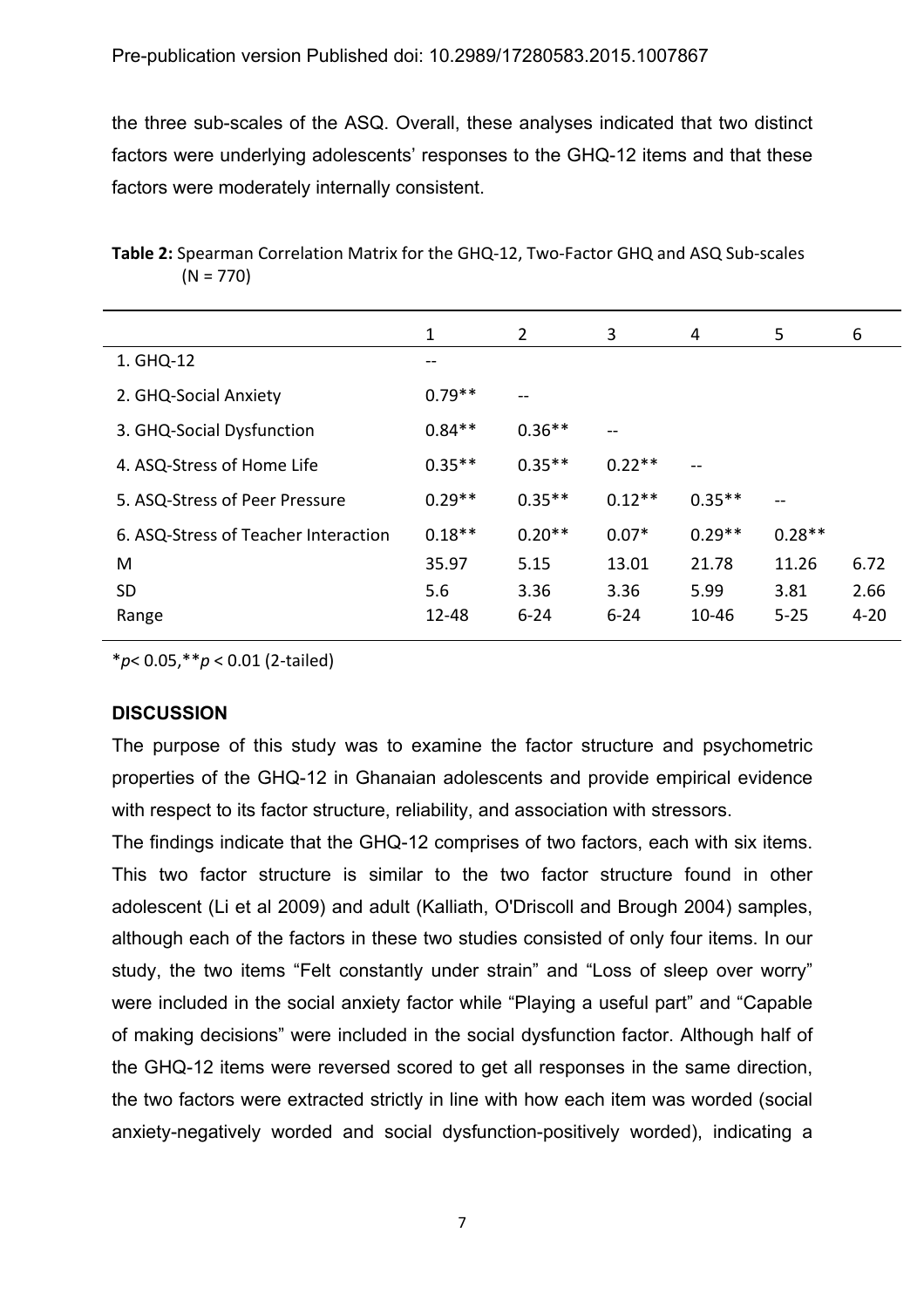the three sub-scales of the ASQ. Overall, these analyses indicated that two distinct factors were underlying adolescents' responses to the GHQ-12 items and that these factors were moderately internally consistent.

|                                      | 1        | $\overline{2}$ | 3        | 4                        | 5                        | 6        |
|--------------------------------------|----------|----------------|----------|--------------------------|--------------------------|----------|
| 1. GHQ-12                            | --       |                |          |                          |                          |          |
| 2. GHQ-Social Anxiety                | $0.79**$ | --             |          |                          |                          |          |
| 3. GHQ-Social Dysfunction            | $0.84**$ | $0.36**$       | --       |                          |                          |          |
| 4. ASQ-Stress of Home Life           | $0.35**$ | $0.35**$       | $0.22**$ | $\overline{\phantom{a}}$ |                          |          |
| 5. ASQ-Stress of Peer Pressure       | $0.29**$ | $0.35**$       | $0.12**$ | $0.35**$                 | $\qquad \qquad \qquad -$ |          |
| 6. ASQ-Stress of Teacher Interaction | $0.18**$ | $0.20**$       | $0.07*$  | $0.29**$                 | $0.28**$                 |          |
| M                                    | 35.97    | 5.15           | 13.01    | 21.78                    | 11.26                    | 6.72     |
| <b>SD</b>                            | 5.6      | 3.36           | 3.36     | 5.99                     | 3.81                     | 2.66     |
| Range                                | 12-48    | $6 - 24$       | $6 - 24$ | $10 - 46$                | $5 - 25$                 | $4 - 20$ |

Table 2: Spearman Correlation Matrix for the GHQ-12, Two-Factor GHQ and ASQ Sub-scales  $(N = 770)$ 

\**p*< 0.05,\*\**p* < 0.01 (2-tailed)

# **DISCUSSION**

The purpose of this study was to examine the factor structure and psychometric properties of the GHQ-12 in Ghanaian adolescents and provide empirical evidence with respect to its factor structure, reliability, and association with stressors.

The findings indicate that the GHQ-12 comprises of two factors, each with six items. This two factor structure is similar to the two factor structure found in other adolescent (Li et al 2009) and adult (Kalliath, O'Driscoll and Brough 2004) samples, although each of the factors in these two studies consisted of only four items. In our study, the two items "Felt constantly under strain" and "Loss of sleep over worry" were included in the social anxiety factor while "Playing a useful part" and "Capable of making decisions" were included in the social dysfunction factor. Although half of the GHQ-12 items were reversed scored to get all responses in the same direction, the two factors were extracted strictly in line with how each item was worded (social anxiety-negatively worded and social dysfunction-positively worded), indicating a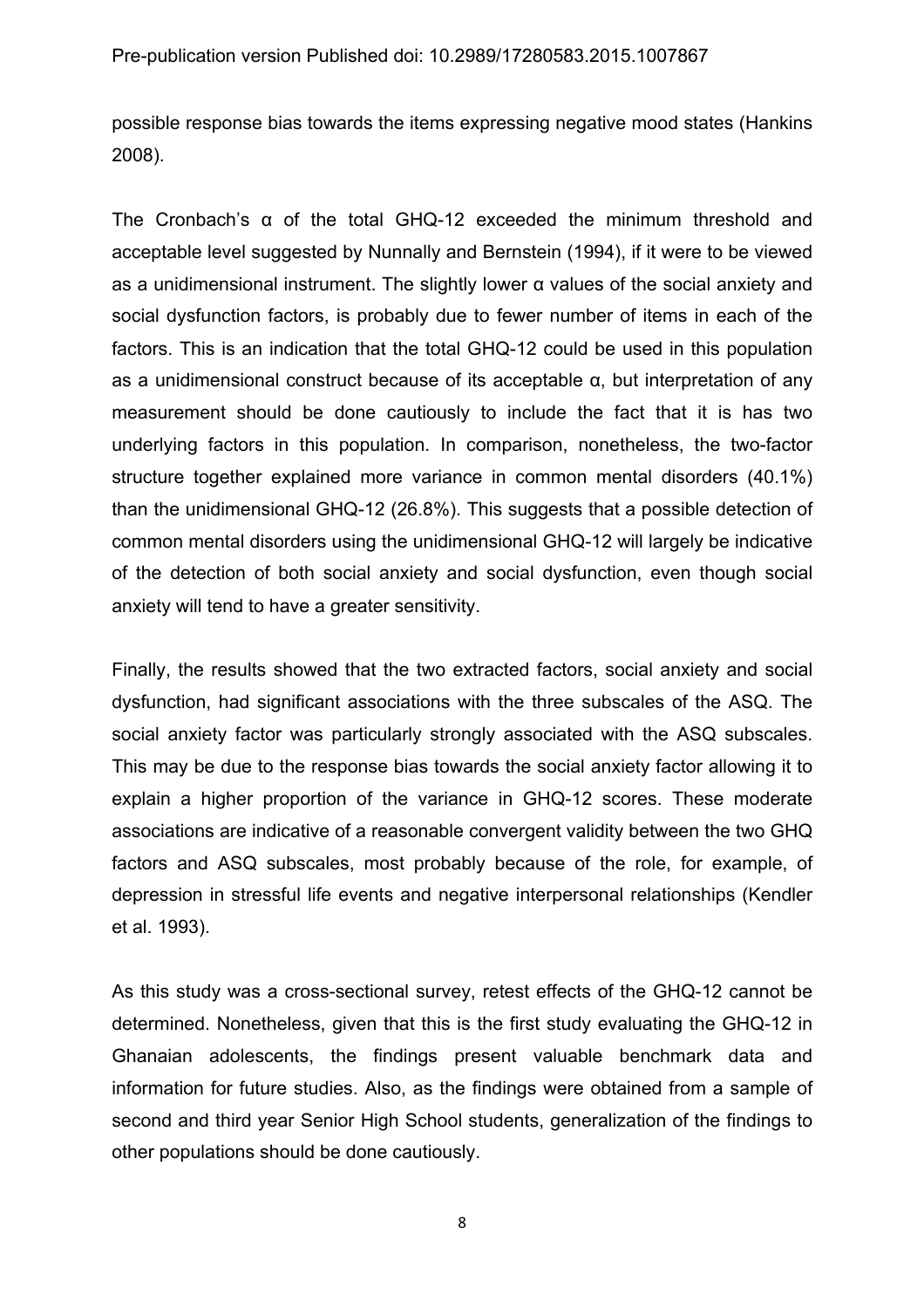possible response bias towards the items expressing negative mood states (Hankins 2008).

The Cronbach's α of the total GHQ-12 exceeded the minimum threshold and acceptable level suggested by Nunnally and Bernstein (1994), if it were to be viewed as a unidimensional instrument. The slightly lower α values of the social anxiety and social dysfunction factors, is probably due to fewer number of items in each of the factors. This is an indication that the total GHQ-12 could be used in this population as a unidimensional construct because of its acceptable α, but interpretation of any measurement should be done cautiously to include the fact that it is has two underlying factors in this population. In comparison, nonetheless, the two-factor structure together explained more variance in common mental disorders (40.1%) than the unidimensional GHQ-12 (26.8%). This suggests that a possible detection of common mental disorders using the unidimensional GHQ-12 will largely be indicative of the detection of both social anxiety and social dysfunction, even though social anxiety will tend to have a greater sensitivity.

Finally, the results showed that the two extracted factors, social anxiety and social dysfunction, had significant associations with the three subscales of the ASQ. The social anxiety factor was particularly strongly associated with the ASQ subscales. This may be due to the response bias towards the social anxiety factor allowing it to explain a higher proportion of the variance in GHQ-12 scores. These moderate associations are indicative of a reasonable convergent validity between the two GHQ factors and ASQ subscales, most probably because of the role, for example, of depression in stressful life events and negative interpersonal relationships (Kendler et al. 1993).

As this study was a cross-sectional survey, retest effects of the GHQ-12 cannot be determined. Nonetheless, given that this is the first study evaluating the GHQ-12 in Ghanaian adolescents, the findings present valuable benchmark data and information for future studies. Also, as the findings were obtained from a sample of second and third year Senior High School students, generalization of the findings to other populations should be done cautiously.

8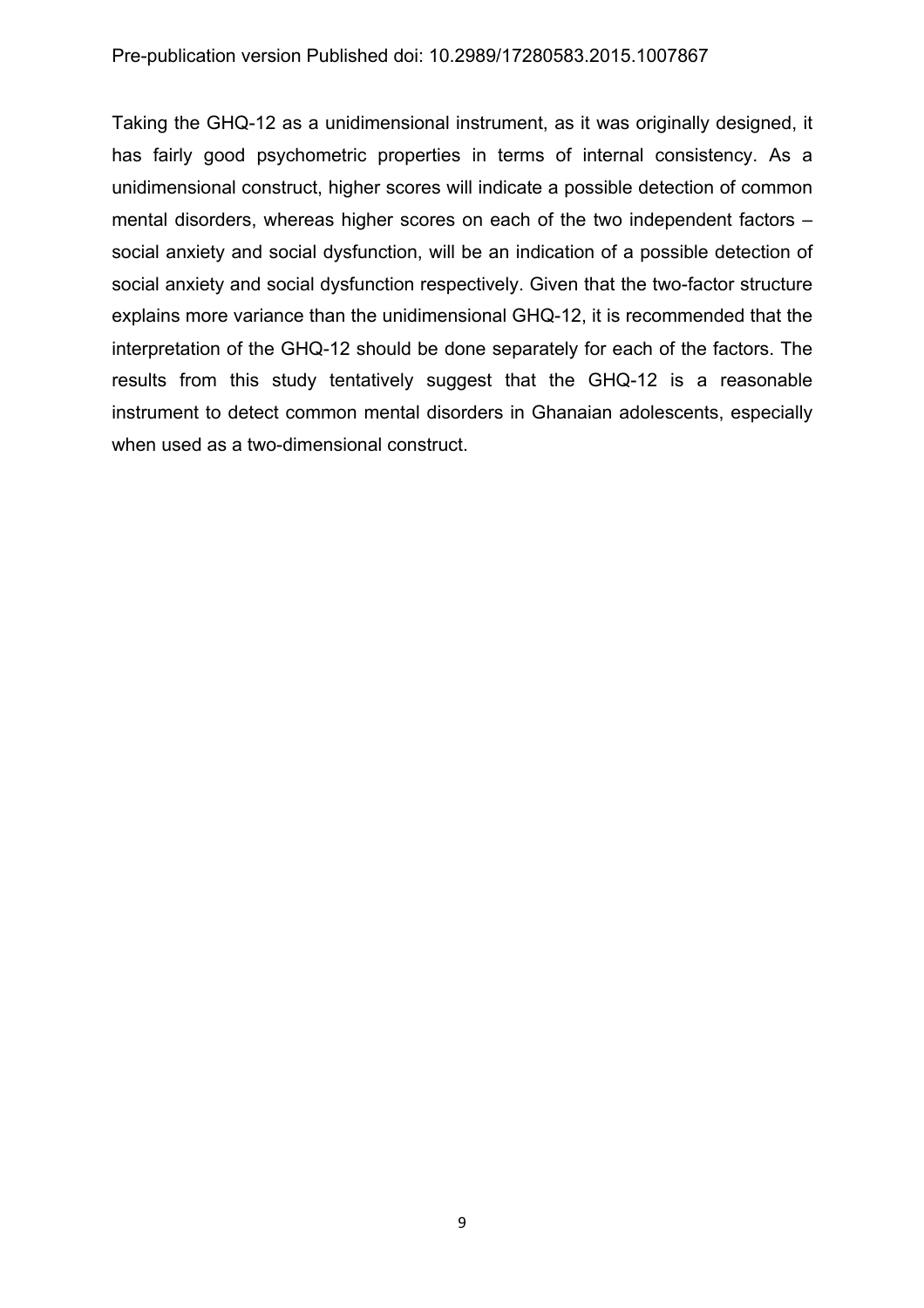Taking the GHQ-12 as a unidimensional instrument, as it was originally designed, it has fairly good psychometric properties in terms of internal consistency. As a unidimensional construct, higher scores will indicate a possible detection of common mental disorders, whereas higher scores on each of the two independent factors – social anxiety and social dysfunction, will be an indication of a possible detection of social anxiety and social dysfunction respectively. Given that the two-factor structure explains more variance than the unidimensional GHQ-12, it is recommended that the interpretation of the GHQ-12 should be done separately for each of the factors. The results from this study tentatively suggest that the GHQ-12 is a reasonable instrument to detect common mental disorders in Ghanaian adolescents, especially when used as a two-dimensional construct.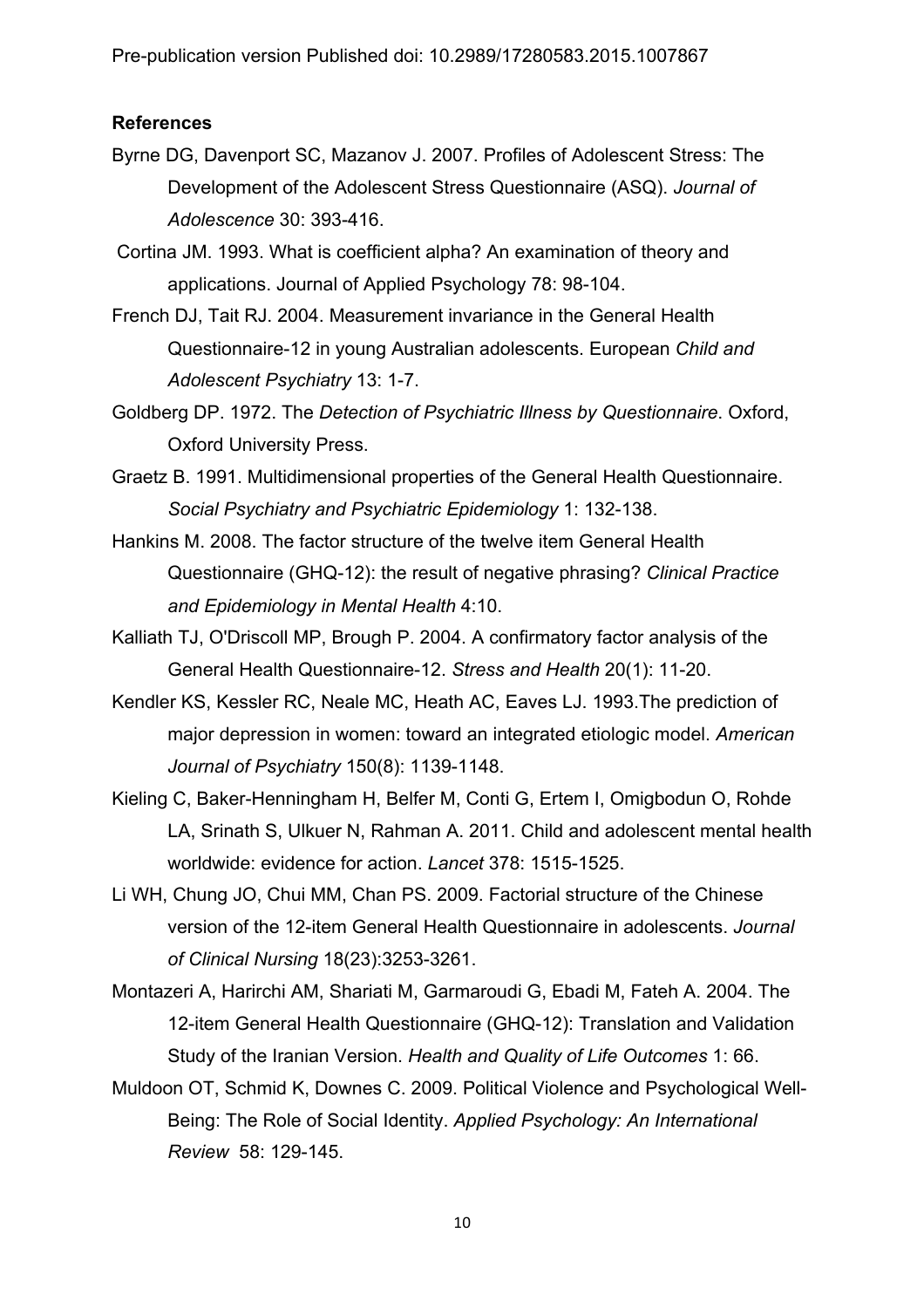Pre-publication version Published doi: 10.2989/17280583.2015.1007867

#### **References**

- Byrne DG, Davenport SC, Mazanov J. 2007. Profiles of Adolescent Stress: The Development of the Adolescent Stress Questionnaire (ASQ). *Journal of Adolescence* 30: 393-416.
- Cortina JM. 1993. What is coefficient alpha? An examination of theory and applications. Journal of Applied Psychology 78: 98-104.
- French DJ, Tait RJ. 2004. Measurement invariance in the General Health Questionnaire-12 in young Australian adolescents. European *Child and Adolescent Psychiatry* 13: 1-7.
- Goldberg DP. 1972. The *Detection of Psychiatric Illness by Questionnaire*. Oxford, Oxford University Press.
- Graetz B. 1991. Multidimensional properties of the General Health Questionnaire. *Social Psychiatry and Psychiatric Epidemiology* 1: 132-138.
- Hankins M. 2008. The factor structure of the twelve item General Health Questionnaire (GHQ-12): the result of negative phrasing? *Clinical Practice and Epidemiology in Mental Health* 4:10.
- Kalliath TJ, O'Driscoll MP, Brough P. 2004. A confirmatory factor analysis of the General Health Questionnaire-12. *Stress and Health* 20(1): 11-20.
- Kendler KS, Kessler RC, Neale MC, Heath AC, Eaves LJ. 1993.The prediction of major depression in women: toward an integrated etiologic model. *American Journal of Psychiatry* 150(8): 1139-1148.
- Kieling C, Baker-Henningham H, Belfer M, Conti G, Ertem I, Omigbodun O, Rohde LA, Srinath S, Ulkuer N, Rahman A. 2011. Child and adolescent mental health worldwide: evidence for action. *Lancet* 378: 1515-1525.
- Li WH, Chung JO, Chui MM, Chan PS. 2009. Factorial structure of the Chinese version of the 12-item General Health Questionnaire in adolescents. *Journal of Clinical Nursing* 18(23):3253-3261.
- Montazeri A, Harirchi AM, Shariati M, Garmaroudi G, Ebadi M, Fateh A. 2004. The 12-item General Health Questionnaire (GHQ-12): Translation and Validation Study of the Iranian Version. *Health and Quality of Life Outcomes* 1: 66.
- Muldoon OT, Schmid K, Downes C. 2009. Political Violence and Psychological Well-Being: The Role of Social Identity. *Applied Psychology: An International Review* 58: 129-145.